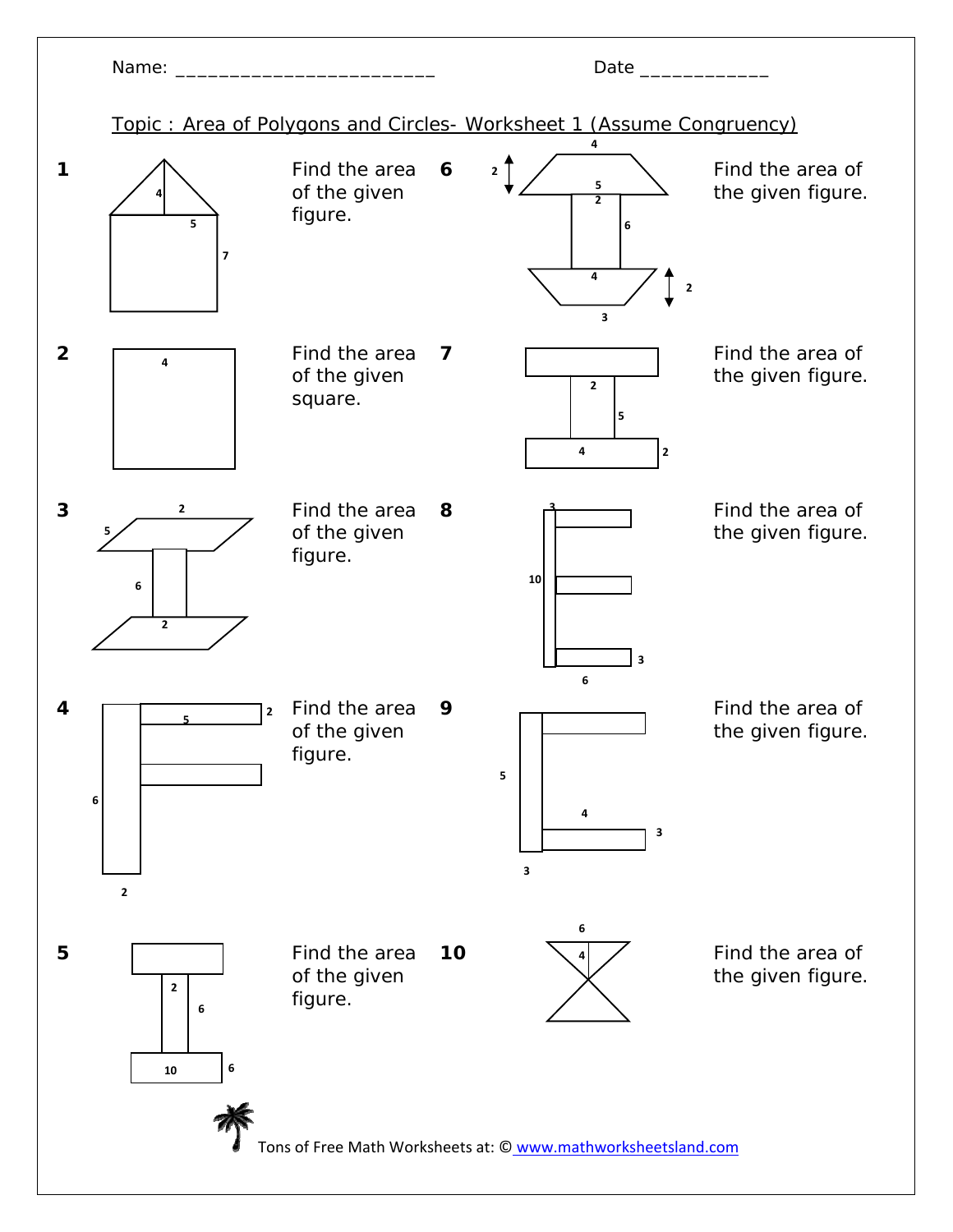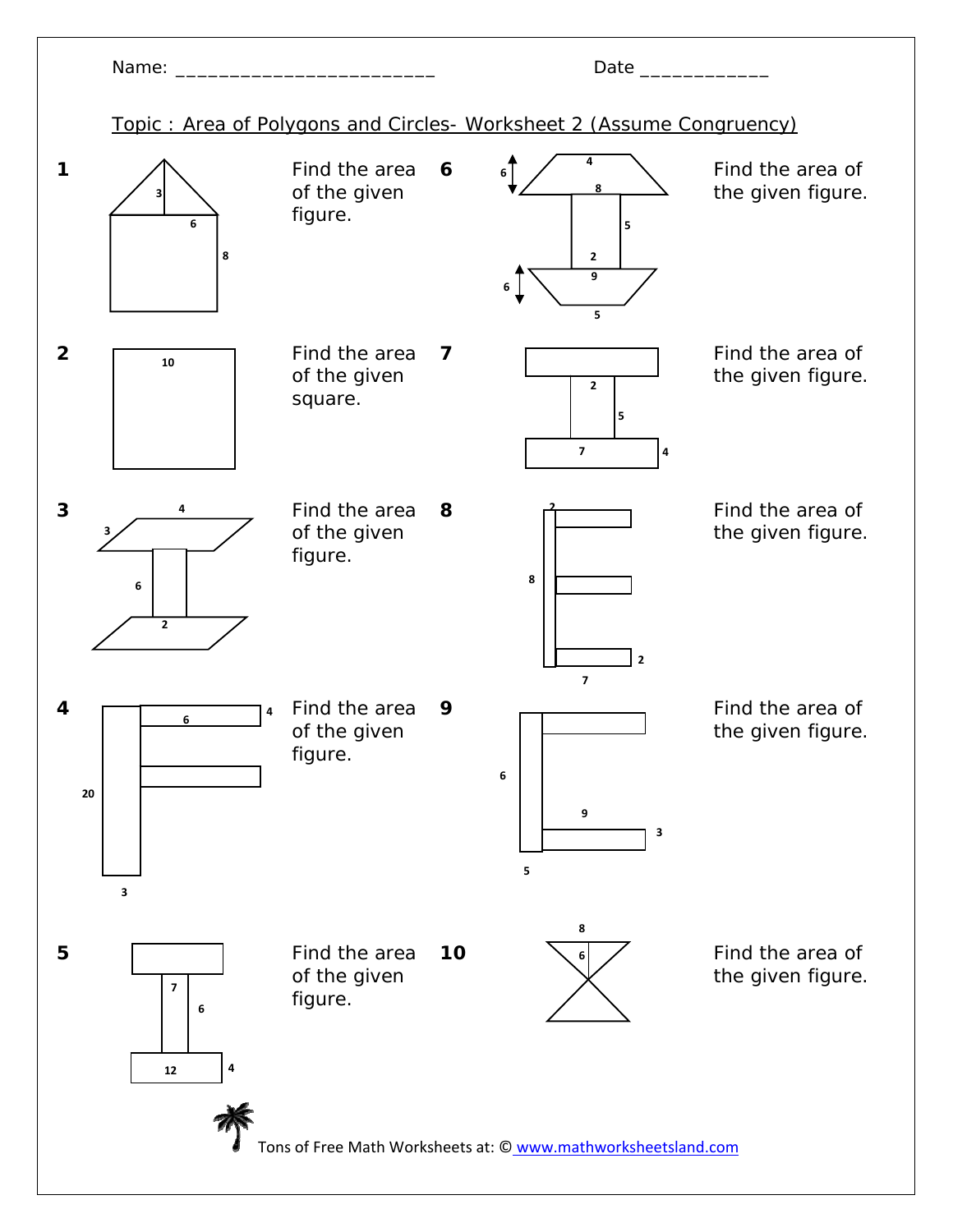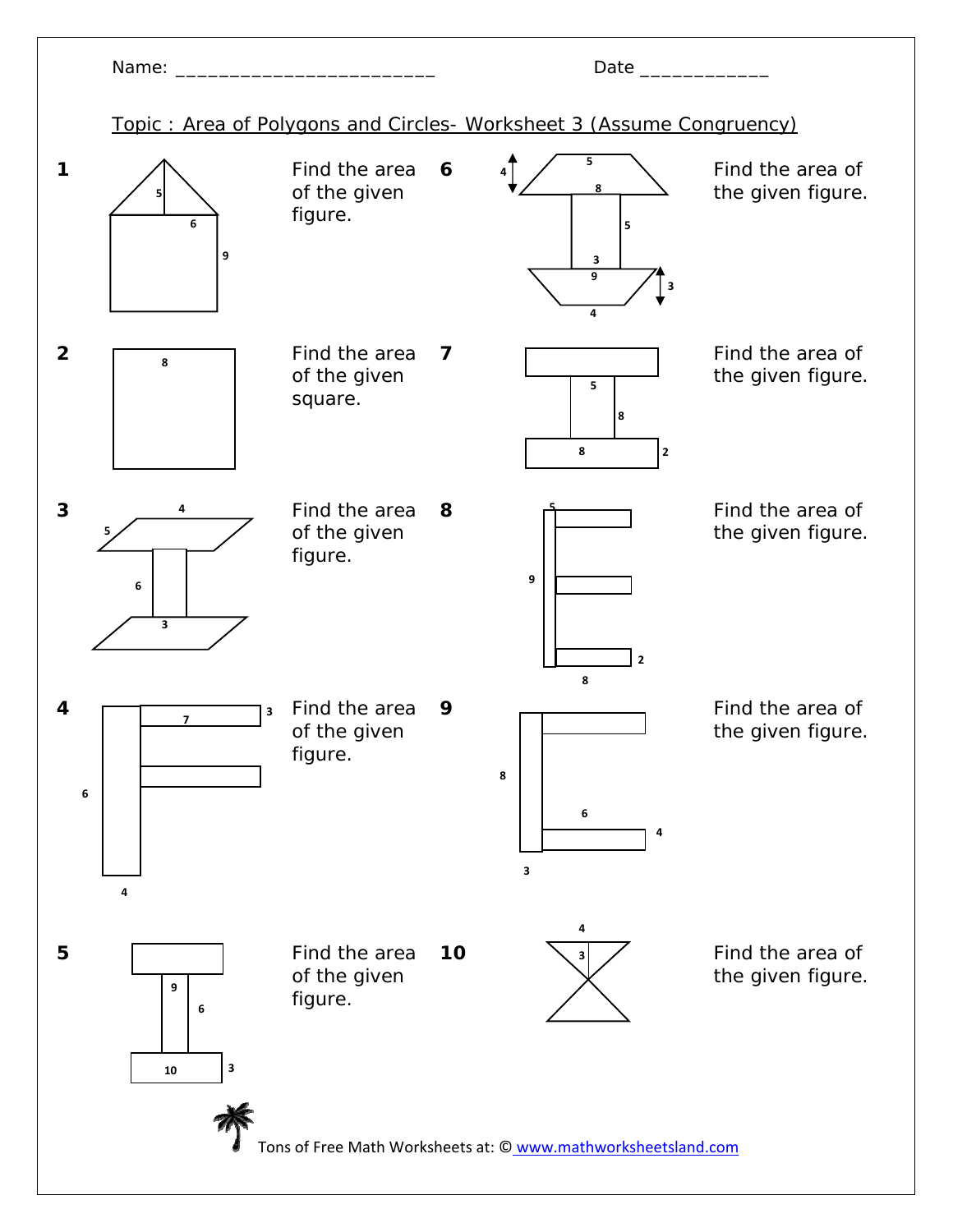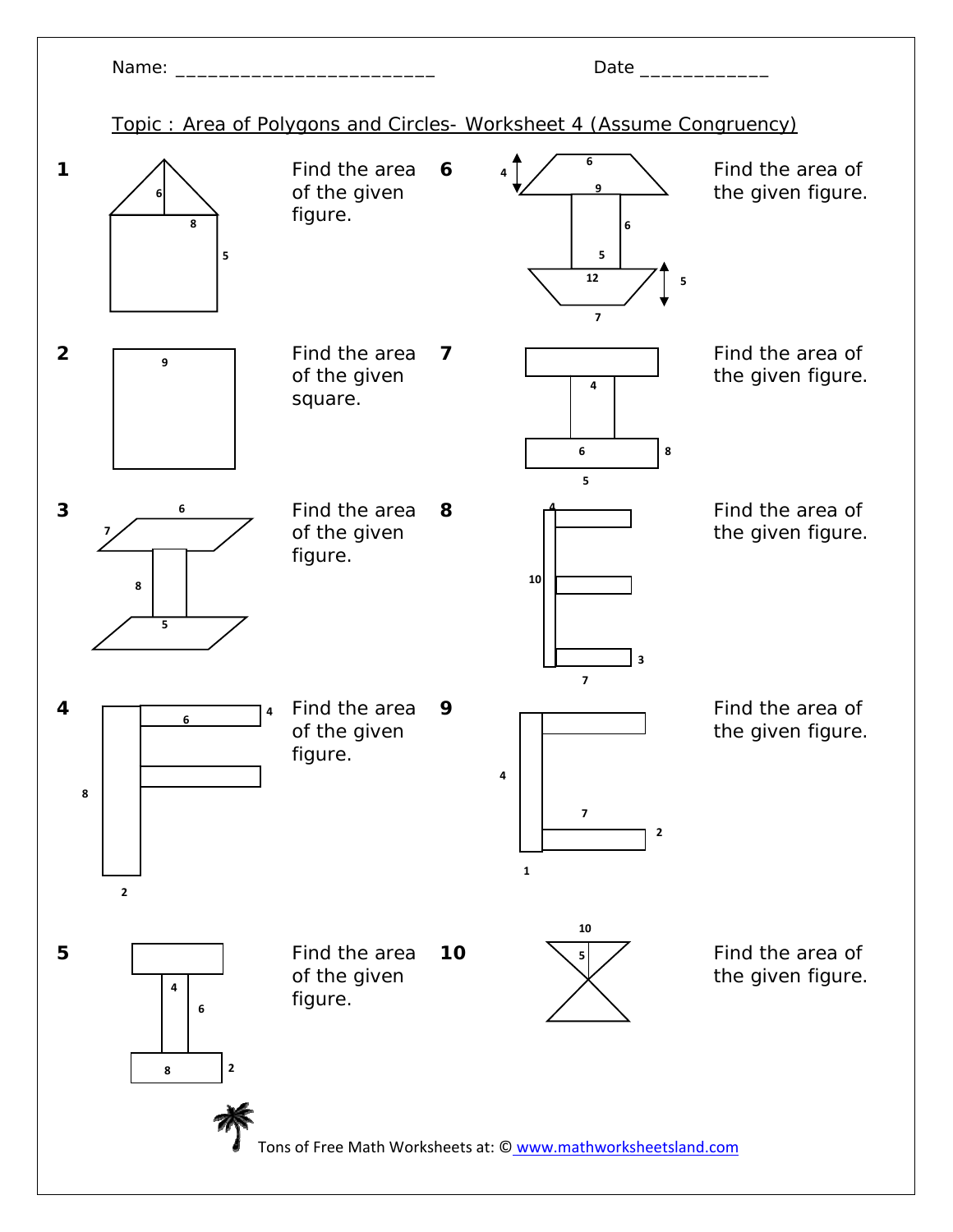